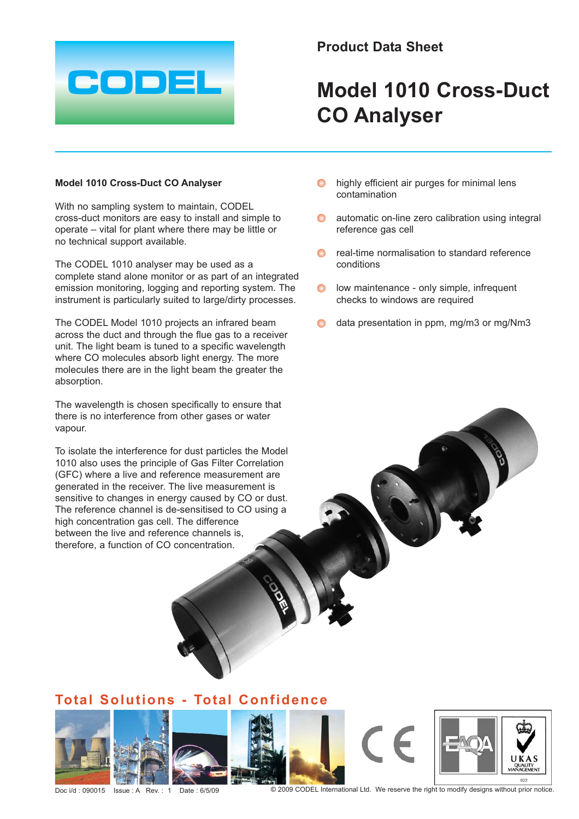

## **Product Data Sheet**

# **Model 1010 Cross-Duct CO Analyser**

#### **Model 1010 Cross-Duct CO Analyser**

With no sampling system to maintain, CODEL cross-duct monitors are easy to install and simple to operate – vital for plant where there may be little or no technical support available.

The CODEL 1010 analyser may be used as a complete stand alone monitor or as part of an integrated emission monitoring, logging and reporting system. The instrument is particularly suited to large/dirty processes.

The CODEL Model 1010 projects an infrared beam across the duct and through the flue gas to a receiver unit. The light beam is tuned to a specific wavelength where CO molecules absorb light energy. The more molecules there are in the light beam the greater the absorption.

The wavelength is chosen specifically to ensure that there is no interference from other gases or water vapour.

To isolate the interference for dust particles the Model 1010 also uses the principle of Gas Filter Correlation (GFC) where a live and reference measurement are generated in the receiver. The live measurement is sensitive to changes in energy caused by CO or dust. The reference channel is de-sensitised to CO using a high concentration gas cell. The difference between the live and reference channels is, therefore, a function of CO concentration.

- highly efficient air purges for minimal lens contamination
- **Q** automatic on-line zero calibration using integral reference gas cell
- **O** real-time normalisation to standard reference conditions
- **o** low maintenance only simple, infrequent checks to windows are required
- $\bigcirc$  data presentation in ppm, mg/m3 or mg/Nm3

## **Total Solutions - Total Confidence**









Doc i/d : 090015 Issue : A Rev. : 1 Date : 6/5/09 © 2009 CODEL International Ltd. We reserve the right to modify designs without prior notice.